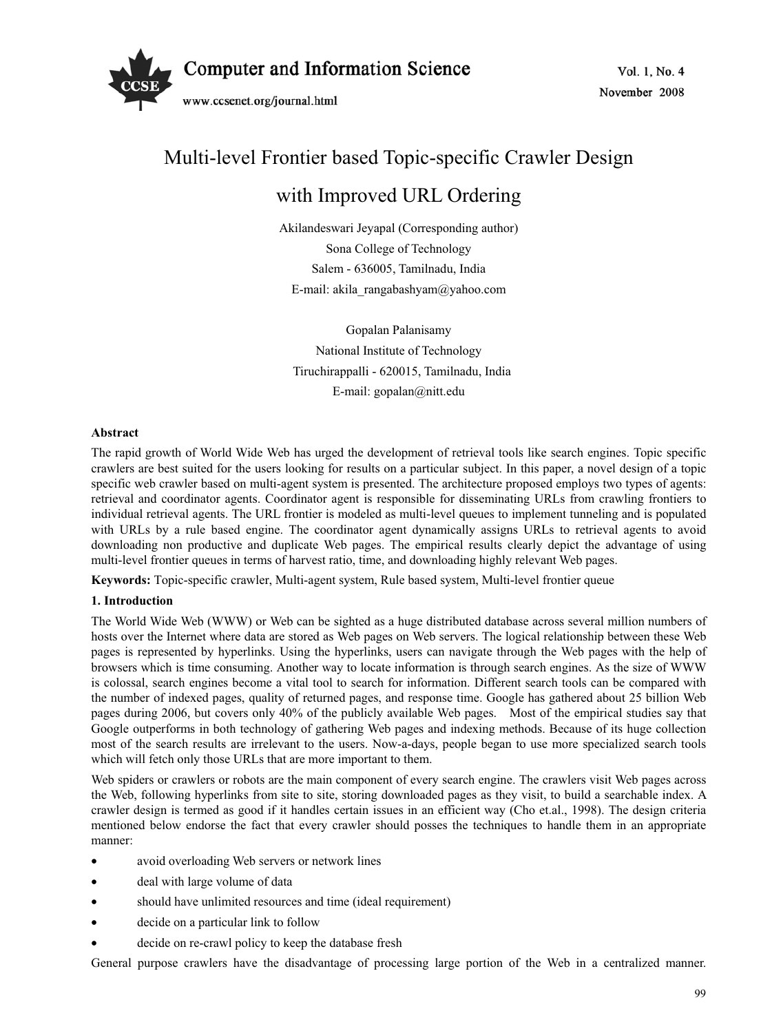

November 2008

# Multi-level Frontier based Topic-specific Crawler Design with Improved URL Ordering

Akilandeswari Jeyapal (Corresponding author) Sona College of Technology Salem - 636005, Tamilnadu, India E-mail: akila\_rangabashyam@yahoo.com

Gopalan Palanisamy National Institute of Technology Tiruchirappalli - 620015, Tamilnadu, India E-mail: gopalan@nitt.edu

## **Abstract**

The rapid growth of World Wide Web has urged the development of retrieval tools like search engines. Topic specific crawlers are best suited for the users looking for results on a particular subject. In this paper, a novel design of a topic specific web crawler based on multi-agent system is presented. The architecture proposed employs two types of agents: retrieval and coordinator agents. Coordinator agent is responsible for disseminating URLs from crawling frontiers to individual retrieval agents. The URL frontier is modeled as multi-level queues to implement tunneling and is populated with URLs by a rule based engine. The coordinator agent dynamically assigns URLs to retrieval agents to avoid downloading non productive and duplicate Web pages. The empirical results clearly depict the advantage of using multi-level frontier queues in terms of harvest ratio, time, and downloading highly relevant Web pages.

**Keywords:** Topic-specific crawler, Multi-agent system, Rule based system, Multi-level frontier queue

### **1. Introduction**

The World Wide Web (WWW) or Web can be sighted as a huge distributed database across several million numbers of hosts over the Internet where data are stored as Web pages on Web servers. The logical relationship between these Web pages is represented by hyperlinks. Using the hyperlinks, users can navigate through the Web pages with the help of browsers which is time consuming. Another way to locate information is through search engines. As the size of WWW is colossal, search engines become a vital tool to search for information. Different search tools can be compared with the number of indexed pages, quality of returned pages, and response time. Google has gathered about 25 billion Web pages during 2006, but covers only 40% of the publicly available Web pages. Most of the empirical studies say that Google outperforms in both technology of gathering Web pages and indexing methods. Because of its huge collection most of the search results are irrelevant to the users. Now-a-days, people began to use more specialized search tools which will fetch only those URLs that are more important to them.

Web spiders or crawlers or robots are the main component of every search engine. The crawlers visit Web pages across the Web, following hyperlinks from site to site, storing downloaded pages as they visit, to build a searchable index. A crawler design is termed as good if it handles certain issues in an efficient way (Cho et.al., 1998). The design criteria mentioned below endorse the fact that every crawler should posses the techniques to handle them in an appropriate manner:

- avoid overloading Web servers or network lines
- deal with large volume of data
- should have unlimited resources and time (ideal requirement)
- decide on a particular link to follow
- decide on re-crawl policy to keep the database fresh

General purpose crawlers have the disadvantage of processing large portion of the Web in a centralized manner.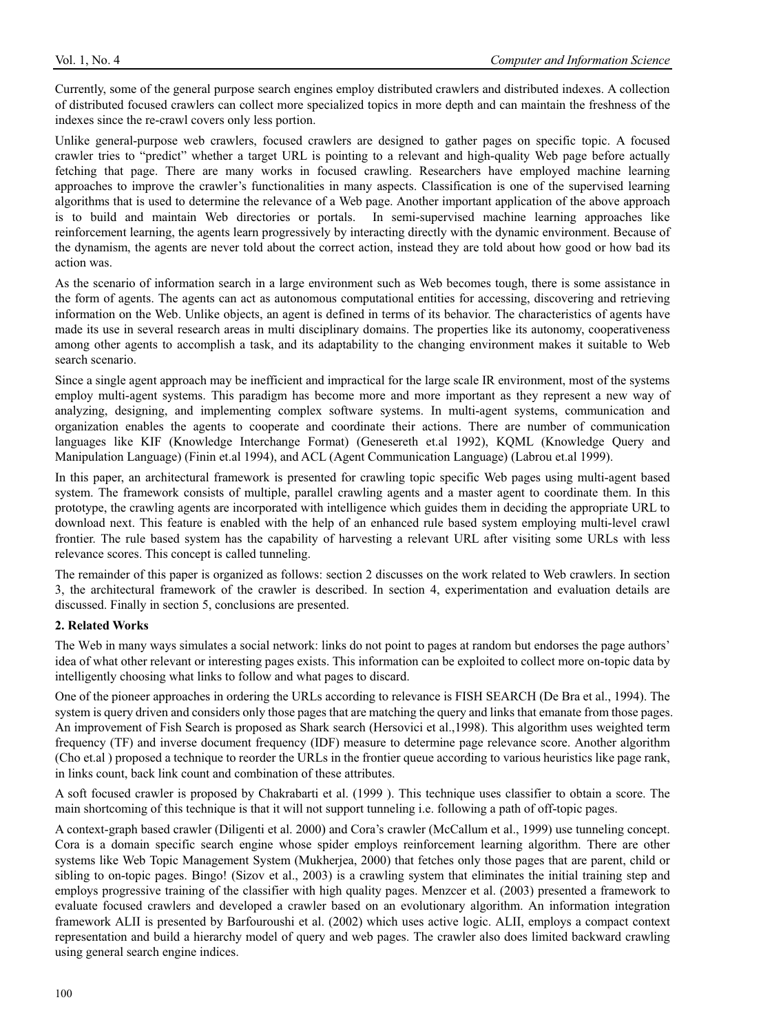Currently, some of the general purpose search engines employ distributed crawlers and distributed indexes. A collection of distributed focused crawlers can collect more specialized topics in more depth and can maintain the freshness of the indexes since the re-crawl covers only less portion.

Unlike general-purpose web crawlers, focused crawlers are designed to gather pages on specific topic. A focused crawler tries to "predict" whether a target URL is pointing to a relevant and high-quality Web page before actually fetching that page. There are many works in focused crawling. Researchers have employed machine learning approaches to improve the crawler's functionalities in many aspects. Classification is one of the supervised learning algorithms that is used to determine the relevance of a Web page. Another important application of the above approach is to build and maintain Web directories or portals. In semi-supervised machine learning approaches like reinforcement learning, the agents learn progressively by interacting directly with the dynamic environment. Because of the dynamism, the agents are never told about the correct action, instead they are told about how good or how bad its action was.

As the scenario of information search in a large environment such as Web becomes tough, there is some assistance in the form of agents. The agents can act as autonomous computational entities for accessing, discovering and retrieving information on the Web. Unlike objects, an agent is defined in terms of its behavior. The characteristics of agents have made its use in several research areas in multi disciplinary domains. The properties like its autonomy, cooperativeness among other agents to accomplish a task, and its adaptability to the changing environment makes it suitable to Web search scenario.

Since a single agent approach may be inefficient and impractical for the large scale IR environment, most of the systems employ multi-agent systems. This paradigm has become more and more important as they represent a new way of analyzing, designing, and implementing complex software systems. In multi-agent systems, communication and organization enables the agents to cooperate and coordinate their actions. There are number of communication languages like KIF (Knowledge Interchange Format) (Genesereth et.al 1992), KQML (Knowledge Query and Manipulation Language) (Finin et.al 1994), and ACL (Agent Communication Language) (Labrou et.al 1999).

In this paper, an architectural framework is presented for crawling topic specific Web pages using multi-agent based system. The framework consists of multiple, parallel crawling agents and a master agent to coordinate them. In this prototype, the crawling agents are incorporated with intelligence which guides them in deciding the appropriate URL to download next. This feature is enabled with the help of an enhanced rule based system employing multi-level crawl frontier. The rule based system has the capability of harvesting a relevant URL after visiting some URLs with less relevance scores. This concept is called tunneling.

The remainder of this paper is organized as follows: section 2 discusses on the work related to Web crawlers. In section 3, the architectural framework of the crawler is described. In section 4, experimentation and evaluation details are discussed. Finally in section 5, conclusions are presented.

### **2. Related Works**

The Web in many ways simulates a social network: links do not point to pages at random but endorses the page authors' idea of what other relevant or interesting pages exists. This information can be exploited to collect more on-topic data by intelligently choosing what links to follow and what pages to discard.

One of the pioneer approaches in ordering the URLs according to relevance is FISH SEARCH (De Bra et al., 1994). The system is query driven and considers only those pages that are matching the query and links that emanate from those pages. An improvement of Fish Search is proposed as Shark search (Hersovici et al.,1998). This algorithm uses weighted term frequency (TF) and inverse document frequency (IDF) measure to determine page relevance score. Another algorithm (Cho et.al ) proposed a technique to reorder the URLs in the frontier queue according to various heuristics like page rank, in links count, back link count and combination of these attributes.

A soft focused crawler is proposed by Chakrabarti et al. (1999 ). This technique uses classifier to obtain a score. The main shortcoming of this technique is that it will not support tunneling i.e. following a path of off-topic pages.

A context-graph based crawler (Diligenti et al. 2000) and Cora's crawler (McCallum et al., 1999) use tunneling concept. Cora is a domain specific search engine whose spider employs reinforcement learning algorithm. There are other systems like Web Topic Management System (Mukherjea, 2000) that fetches only those pages that are parent, child or sibling to on-topic pages. Bingo! (Sizov et al., 2003) is a crawling system that eliminates the initial training step and employs progressive training of the classifier with high quality pages. Menzcer et al. (2003) presented a framework to evaluate focused crawlers and developed a crawler based on an evolutionary algorithm. An information integration framework ALII is presented by Barfouroushi et al. (2002) which uses active logic. ALII, employs a compact context representation and build a hierarchy model of query and web pages. The crawler also does limited backward crawling using general search engine indices.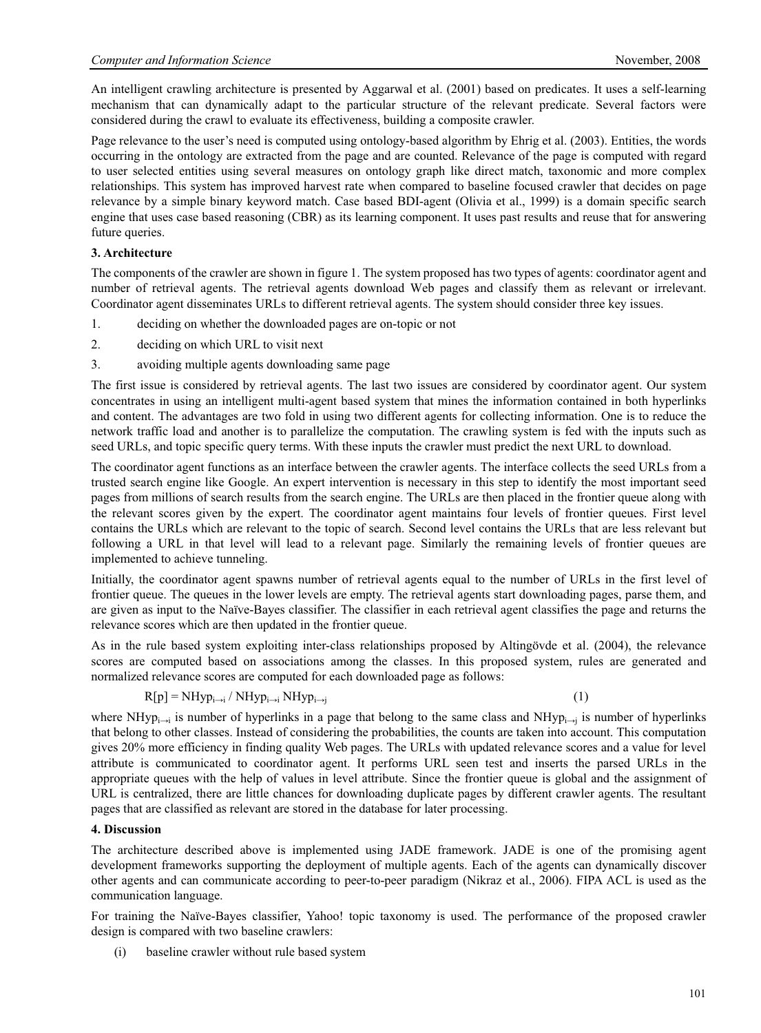An intelligent crawling architecture is presented by Aggarwal et al. (2001) based on predicates. It uses a self-learning mechanism that can dynamically adapt to the particular structure of the relevant predicate. Several factors were considered during the crawl to evaluate its effectiveness, building a composite crawler.

Page relevance to the user's need is computed using ontology-based algorithm by Ehrig et al. (2003). Entities, the words occurring in the ontology are extracted from the page and are counted. Relevance of the page is computed with regard to user selected entities using several measures on ontology graph like direct match, taxonomic and more complex relationships. This system has improved harvest rate when compared to baseline focused crawler that decides on page relevance by a simple binary keyword match. Case based BDI-agent (Olivia et al., 1999) is a domain specific search engine that uses case based reasoning (CBR) as its learning component. It uses past results and reuse that for answering future queries.

## **3. Architecture**

The components of the crawler are shown in figure 1. The system proposed has two types of agents: coordinator agent and number of retrieval agents. The retrieval agents download Web pages and classify them as relevant or irrelevant. Coordinator agent disseminates URLs to different retrieval agents. The system should consider three key issues.

- 1. deciding on whether the downloaded pages are on-topic or not
- 2. deciding on which URL to visit next
- 3. avoiding multiple agents downloading same page

The first issue is considered by retrieval agents. The last two issues are considered by coordinator agent. Our system concentrates in using an intelligent multi-agent based system that mines the information contained in both hyperlinks and content. The advantages are two fold in using two different agents for collecting information. One is to reduce the network traffic load and another is to parallelize the computation. The crawling system is fed with the inputs such as seed URLs, and topic specific query terms. With these inputs the crawler must predict the next URL to download.

The coordinator agent functions as an interface between the crawler agents. The interface collects the seed URLs from a trusted search engine like Google. An expert intervention is necessary in this step to identify the most important seed pages from millions of search results from the search engine. The URLs are then placed in the frontier queue along with the relevant scores given by the expert. The coordinator agent maintains four levels of frontier queues. First level contains the URLs which are relevant to the topic of search. Second level contains the URLs that are less relevant but following a URL in that level will lead to a relevant page. Similarly the remaining levels of frontier queues are implemented to achieve tunneling.

Initially, the coordinator agent spawns number of retrieval agents equal to the number of URLs in the first level of frontier queue. The queues in the lower levels are empty. The retrieval agents start downloading pages, parse them, and are given as input to the Naïve-Bayes classifier. The classifier in each retrieval agent classifies the page and returns the relevance scores which are then updated in the frontier queue.

As in the rule based system exploiting inter-class relationships proposed by Altingövde et al. (2004), the relevance scores are computed based on associations among the classes. In this proposed system, rules are generated and normalized relevance scores are computed for each downloaded page as follows:

$$
R[p] = NHyp_{i \to i} / NHyp_{i \to i} NHyp_{i \to j}
$$
 (1)

where NHyp<sub>i→i</sub> is number of hyperlinks in a page that belong to the same class and NHyp<sub>i→i</sub> is number of hyperlinks that belong to other classes. Instead of considering the probabilities, the counts are taken into account. This computation gives 20% more efficiency in finding quality Web pages. The URLs with updated relevance scores and a value for level attribute is communicated to coordinator agent. It performs URL seen test and inserts the parsed URLs in the appropriate queues with the help of values in level attribute. Since the frontier queue is global and the assignment of URL is centralized, there are little chances for downloading duplicate pages by different crawler agents. The resultant pages that are classified as relevant are stored in the database for later processing.

### **4. Discussion**

The architecture described above is implemented using JADE framework. JADE is one of the promising agent development frameworks supporting the deployment of multiple agents. Each of the agents can dynamically discover other agents and can communicate according to peer-to-peer paradigm (Nikraz et al., 2006). FIPA ACL is used as the communication language.

For training the Naïve-Bayes classifier, Yahoo! topic taxonomy is used. The performance of the proposed crawler design is compared with two baseline crawlers:

(i) baseline crawler without rule based system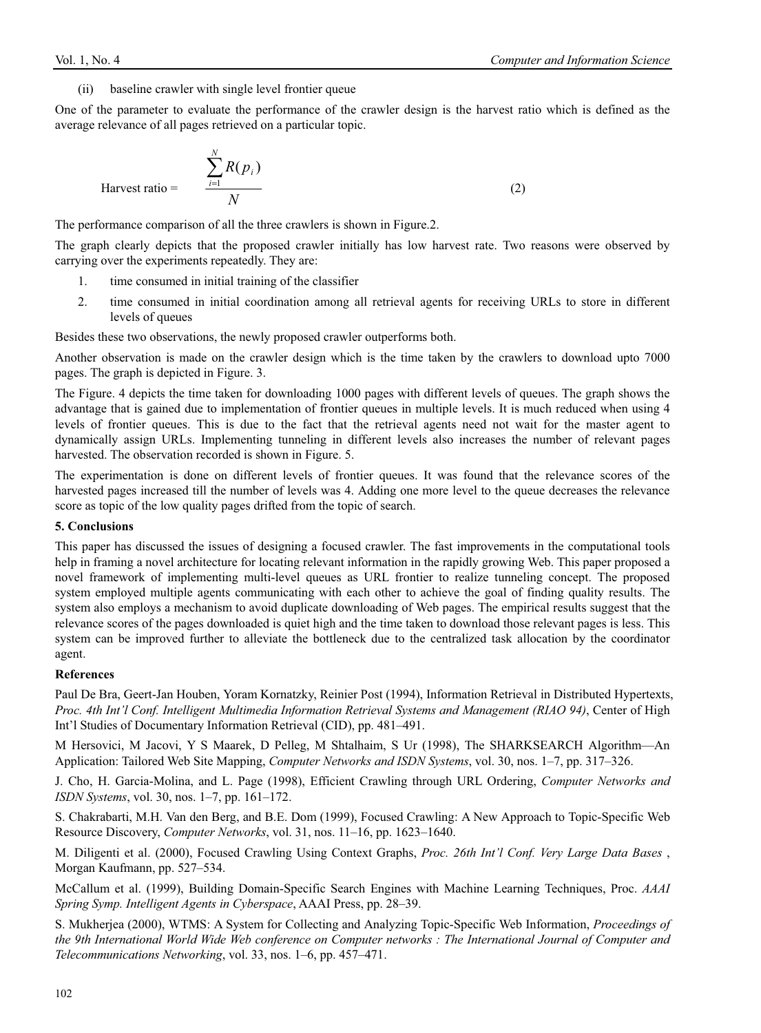Harvest ratio =

(ii) baseline crawler with single level frontier queue

One of the parameter to evaluate the performance of the crawler design is the harvest ratio which is defined as the average relevance of all pages retrieved on a particular topic.

$$
\frac{\sum_{i=1}^{N} R(p_i)}{N}
$$
 (2)

The performance comparison of all the three crawlers is shown in Figure.2.

The graph clearly depicts that the proposed crawler initially has low harvest rate. Two reasons were observed by carrying over the experiments repeatedly. They are:

- 1. time consumed in initial training of the classifier
- 2. time consumed in initial coordination among all retrieval agents for receiving URLs to store in different levels of queues

Besides these two observations, the newly proposed crawler outperforms both.

Another observation is made on the crawler design which is the time taken by the crawlers to download upto 7000 pages. The graph is depicted in Figure. 3.

The Figure. 4 depicts the time taken for downloading 1000 pages with different levels of queues. The graph shows the advantage that is gained due to implementation of frontier queues in multiple levels. It is much reduced when using 4 levels of frontier queues. This is due to the fact that the retrieval agents need not wait for the master agent to dynamically assign URLs. Implementing tunneling in different levels also increases the number of relevant pages harvested. The observation recorded is shown in Figure. 5.

The experimentation is done on different levels of frontier queues. It was found that the relevance scores of the harvested pages increased till the number of levels was 4. Adding one more level to the queue decreases the relevance score as topic of the low quality pages drifted from the topic of search.

# **5. Conclusions**

This paper has discussed the issues of designing a focused crawler. The fast improvements in the computational tools help in framing a novel architecture for locating relevant information in the rapidly growing Web. This paper proposed a novel framework of implementing multi-level queues as URL frontier to realize tunneling concept. The proposed system employed multiple agents communicating with each other to achieve the goal of finding quality results. The system also employs a mechanism to avoid duplicate downloading of Web pages. The empirical results suggest that the relevance scores of the pages downloaded is quiet high and the time taken to download those relevant pages is less. This system can be improved further to alleviate the bottleneck due to the centralized task allocation by the coordinator agent.

# **References**

Paul De Bra, Geert-Jan Houben, Yoram Kornatzky, Reinier Post (1994), Information Retrieval in Distributed Hypertexts, *Proc. 4th Int'l Conf. Intelligent Multimedia Information Retrieval Systems and Management (RIAO 94)*, Center of High Int'l Studies of Documentary Information Retrieval (CID), pp. 481–491.

M Hersovici, M Jacovi, Y S Maarek, D Pelleg, M Shtalhaim, S Ur (1998), The SHARKSEARCH Algorithm—An Application: Tailored Web Site Mapping, *Computer Networks and ISDN Systems*, vol. 30, nos. 1–7, pp. 317–326.

J. Cho, H. Garcia-Molina, and L. Page (1998), Efficient Crawling through URL Ordering, *Computer Networks and ISDN Systems*, vol. 30, nos. 1–7, pp. 161–172.

S. Chakrabarti, M.H. Van den Berg, and B.E. Dom (1999), Focused Crawling: A New Approach to Topic-Specific Web Resource Discovery, *Computer Networks*, vol. 31, nos. 11–16, pp. 1623–1640.

M. Diligenti et al. (2000), Focused Crawling Using Context Graphs, *Proc. 26th Int'l Conf. Very Large Data Bases* , Morgan Kaufmann, pp. 527–534.

McCallum et al. (1999), Building Domain-Specific Search Engines with Machine Learning Techniques, Proc. *AAAI Spring Symp. Intelligent Agents in Cyberspace*, AAAI Press, pp. 28–39.

S. Mukherjea (2000), WTMS: A System for Collecting and Analyzing Topic-Specific Web Information, *Proceedings of the 9th International World Wide Web conference on Computer networks : The International Journal of Computer and Telecommunications Networking*, vol. 33, nos. 1–6, pp. 457–471.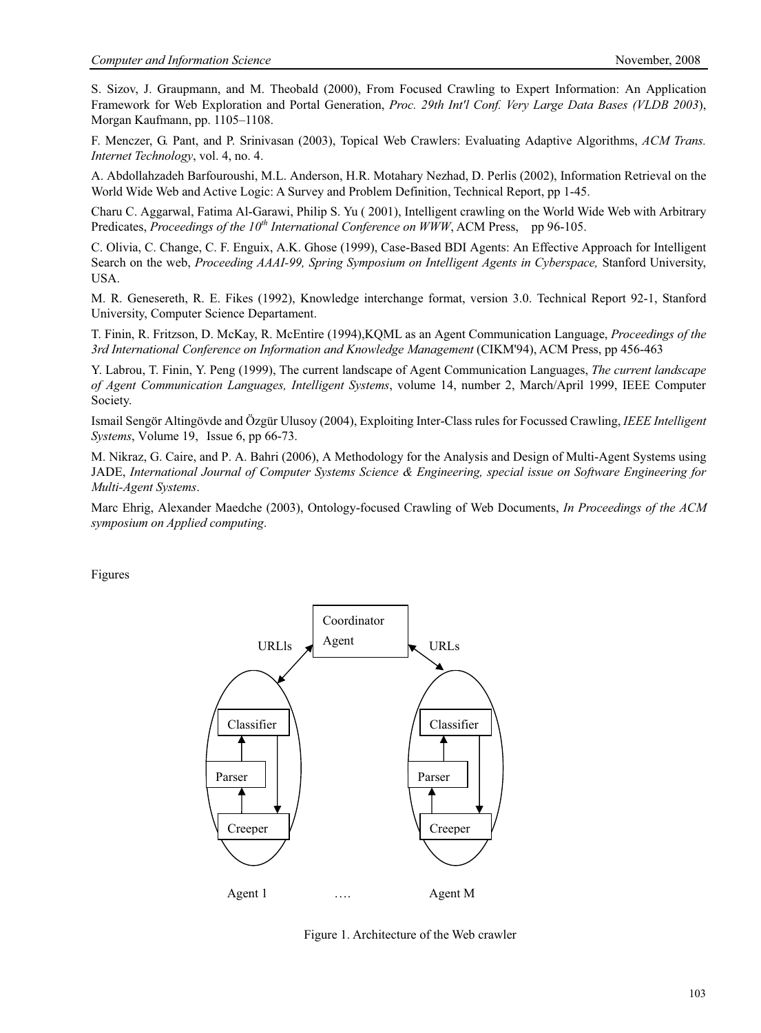S. Sizov, J. Graupmann, and M. Theobald (2000), From Focused Crawling to Expert Information: An Application Framework for Web Exploration and Portal Generation, *Proc. 29th Int'l Conf. Very Large Data Bases (VLDB 2003*), Morgan Kaufmann, pp. 1105–1108.

F. Menczer, G. Pant, and P. Srinivasan (2003), Topical Web Crawlers: Evaluating Adaptive Algorithms, *ACM Trans. Internet Technology*, vol. 4, no. 4.

A. Abdollahzadeh Barfouroushi, M.L. Anderson, H.R. Motahary Nezhad, D. Perlis (2002), Information Retrieval on the World Wide Web and Active Logic: A Survey and Problem Definition, Technical Report, pp 1-45.

Charu C. Aggarwal, Fatima Al-Garawi, Philip S. Yu ( 2001), Intelligent crawling on the World Wide Web with Arbitrary Predicates, *Proceedings of the 10th International Conference on WWW*, ACM Press, pp 96-105.

C. Olivia, C. Change, C. F. Enguix, A.K. Ghose (1999), Case-Based BDI Agents: An Effective Approach for Intelligent Search on the web, *Proceeding AAAI-99, Spring Symposium on Intelligent Agents in Cyberspace,* Stanford University, USA.

M. R. Genesereth, R. E. Fikes (1992), Knowledge interchange format, version 3.0. Technical Report 92-1, Stanford University, Computer Science Departament.

T. Finin, R. Fritzson, D. McKay, R. McEntire (1994),KQML as an Agent Communication Language, *Proceedings of the 3rd International Conference on Information and Knowledge Management* (CIKM'94), ACM Press, pp 456-463

Y. Labrou, T. Finin, Y. Peng (1999), The current landscape of Agent Communication Languages, *The current landscape of Agent Communication Languages, Intelligent Systems*, volume 14, number 2, March/April 1999, IEEE Computer Society.

Ismail Sengör Altingövde and Özgür Ulusoy (2004), Exploiting Inter-Class rules for Focussed Crawling, *IEEE Intelligent Systems*, Volume 19, Issue 6, pp 66-73.

M. Nikraz, G. Caire, and P. A. Bahri (2006), A Methodology for the Analysis and Design of Multi-Agent Systems using JADE, *International Journal of Computer Systems Science & Engineering, special issue on Software Engineering for Multi-Agent Systems*.

Marc Ehrig, Alexander Maedche (2003), Ontology-focused Crawling of Web Documents, *In Proceedings of the ACM symposium on Applied computing*.

Figures



Figure 1. Architecture of the Web crawler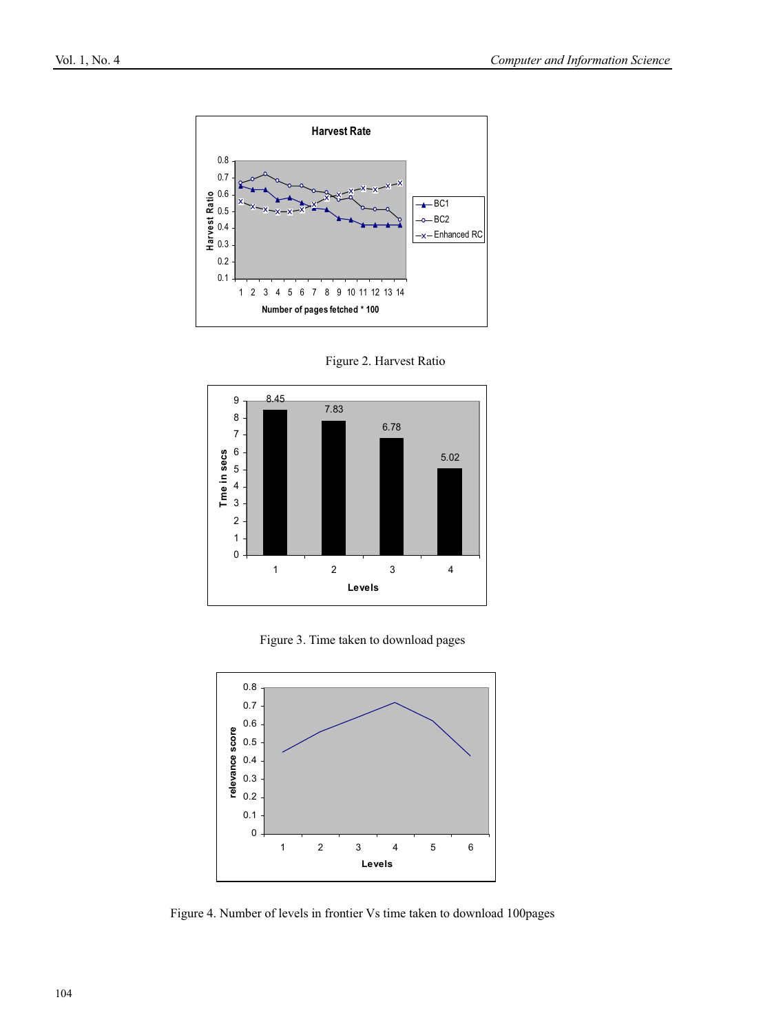

Figure 2. Harvest Ratio



Figure 3. Time taken to download pages



Figure 4. Number of levels in frontier Vs time taken to download 100pages